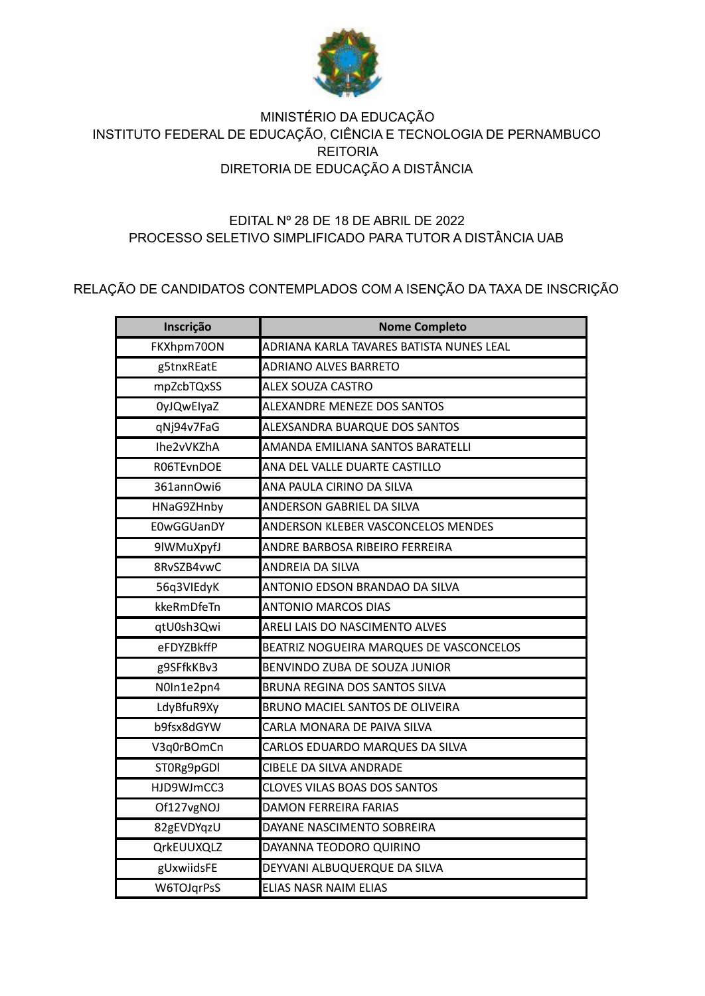

## MINISTÉRIO DA EDUCAÇÃO INSTITUTO FEDERAL DE EDUCAÇÃO, CIÊNCIA E TECNOLOGIA DE PERNAMBUCO **REITORIA** DIRETORIA DE EDUCAÇÃO A DISTÂNCIA

## EDITAL Nº 28 DE 18 DE ABRIL DE 2022 PROCESSO SELETIVO SIMPLIFICADO PARA TUTOR A DISTÂNCIA UAB

## RELAÇÃO DE CANDIDATOS CONTEMPLADOS COM A ISENÇÃO DA TAXA DE INSCRIÇÃO

| Inscrição         | <b>Nome Completo</b>                     |
|-------------------|------------------------------------------|
| FKXhpm70ON        | ADRIANA KARLA TAVARES BATISTA NUNES LEAL |
| g5tnxREatE        | <b>ADRIANO ALVES BARRETO</b>             |
| mpZcbTQxSS        | ALEX SOUZA CASTRO                        |
| <b>OyJQwElyaZ</b> | ALEXANDRE MENEZE DOS SANTOS              |
| qNj94v7FaG        | ALEXSANDRA BUARQUE DOS SANTOS            |
| Ihe2vVKZhA        | AMANDA EMILIANA SANTOS BARATELLI         |
| R06TEvnDOE        | ANA DEL VALLE DUARTE CASTILLO            |
| 361annOwi6        | ANA PAULA CIRINO DA SILVA                |
| HNaG9ZHnby        | ANDERSON GABRIEL DA SILVA                |
| E0wGGUanDY        | ANDERSON KLEBER VASCONCELOS MENDES       |
| 9lWMuXpyfJ        | ANDRE BARBOSA RIBEIRO FERREIRA           |
| 8RvSZB4vwC        | ANDREIA DA SILVA                         |
| 56q3VIEdyK        | ANTONIO EDSON BRANDAO DA SILVA           |
| kkeRmDfeTn        | <b>ANTONIO MARCOS DIAS</b>               |
| qtU0sh3Qwi        | ARELI LAIS DO NASCIMENTO ALVES           |
| eFDYZBkffP        | BEATRIZ NOGUEIRA MARQUES DE VASCONCELOS  |
| g9SFfkKBv3        | BENVINDO ZUBA DE SOUZA JUNIOR            |
| N0In1e2pn4        | BRUNA REGINA DOS SANTOS SILVA            |
| LdyBfuR9Xy        | BRUNO MACIEL SANTOS DE OLIVEIRA          |
| b9fsx8dGYW        | CARLA MONARA DE PAIVA SILVA              |
| V3q0rBOmCn        | CARLOS EDUARDO MARQUES DA SILVA          |
| ST0Rg9pGDI        | <b>CIBELE DA SILVA ANDRADE</b>           |
| HJD9WJmCC3        | <b>CLOVES VILAS BOAS DOS SANTOS</b>      |
| Of127vgNOJ        | <b>DAMON FERREIRA FARIAS</b>             |
| 82gEVDYqzU        | DAYANE NASCIMENTO SOBREIRA               |
| QrkEUUXQLZ        | DAYANNA TEODORO QUIRINO                  |
| gUxwiidsFE        | DEYVANI ALBUQUERQUE DA SILVA             |
| W6TOJqrPsS        | ELIAS NASR NAIM ELIAS                    |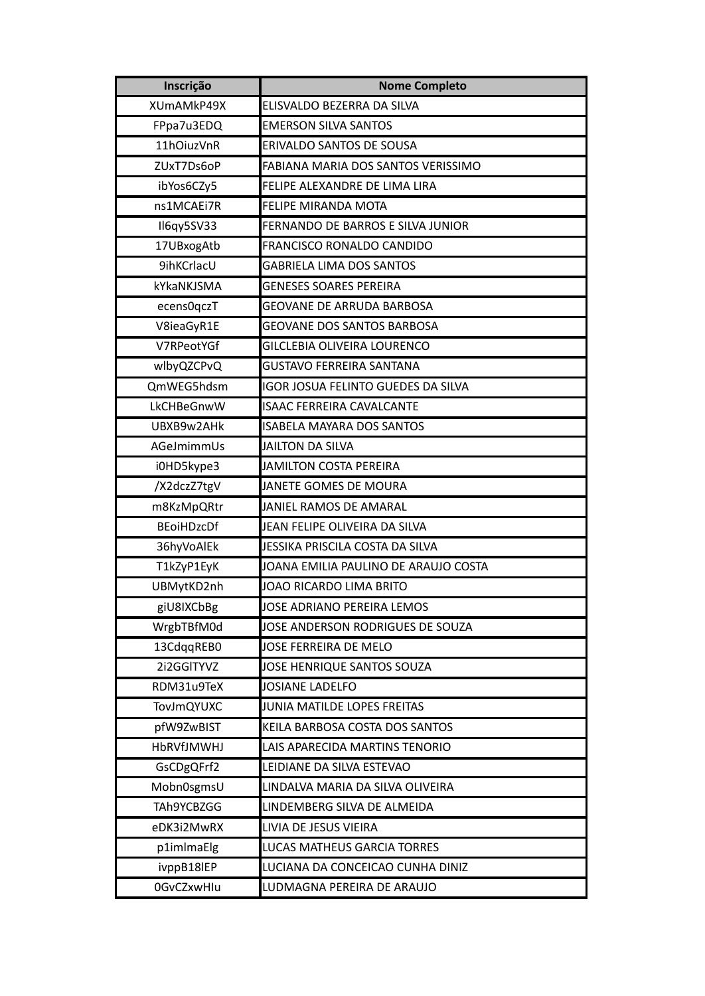| Inscrição         | <b>Nome Completo</b>                 |
|-------------------|--------------------------------------|
| XUmAMkP49X        | ELISVALDO BEZERRA DA SILVA           |
| FPpa7u3EDQ        | <b>EMERSON SILVA SANTOS</b>          |
| 11hOiuzVnR        | ERIVALDO SANTOS DE SOUSA             |
| ZUxT7Ds6oP        | FABIANA MARIA DOS SANTOS VERISSIMO   |
| ibYos6CZy5        | FELIPE ALEXANDRE DE LIMA LIRA        |
| ns1MCAEi7R        | FELIPE MIRANDA MOTA                  |
| Il6qy5SV33        | FERNANDO DE BARROS E SILVA JUNIOR    |
| 17UBxogAtb        | FRANCISCO RONALDO CANDIDO            |
| 9ihKCrlacU        | <b>GABRIELA LIMA DOS SANTOS</b>      |
| kYkaNKJSMA        | <b>GENESES SOARES PEREIRA</b>        |
| ecens0qczT        | GEOVANE DE ARRUDA BARBOSA            |
| V8ieaGyR1E        | <b>GEOVANE DOS SANTOS BARBOSA</b>    |
| V7RPeotYGf        | GILCLEBIA OLIVEIRA LOURENCO          |
| wlbyQZCPvQ        | <b>GUSTAVO FERREIRA SANTANA</b>      |
| QmWEG5hdsm        | IGOR JOSUA FELINTO GUEDES DA SILVA   |
| LkCHBeGnwW        | <b>ISAAC FERREIRA CAVALCANTE</b>     |
| UBXB9w2AHk        | <b>ISABELA MAYARA DOS SANTOS</b>     |
| AGeJmimmUs        | <b>JAILTON DA SILVA</b>              |
| i0HD5kype3        | <b>JAMILTON COSTA PEREIRA</b>        |
| /X2dczZ7tgV       | JANETE GOMES DE MOURA                |
| m8KzMpQRtr        | JANIEL RAMOS DE AMARAL               |
| <b>BEoiHDzcDf</b> | JEAN FELIPE OLIVEIRA DA SILVA        |
| 36hyVoAlEk        | JESSIKA PRISCILA COSTA DA SILVA      |
| T1kZyP1EyK        | JOANA EMILIA PAULINO DE ARAUJO COSTA |
| UBMytKD2nh        | JOAO RICARDO LIMA BRITO              |
| giU8IXCbBg        | JOSE ADRIANO PEREIRA LEMOS           |
| WrgbTBfM0d        | JOSE ANDERSON RODRIGUES DE SOUZA     |
| 13CdqqREB0        | JOSE FERREIRA DE MELO                |
| 2i2GGITYVZ        | JOSE HENRIQUE SANTOS SOUZA           |
| RDM31u9TeX        | JOSIANE LADELFO                      |
| <b>TovJmQYUXC</b> | JUNIA MATILDE LOPES FREITAS          |
| pfW9ZwBIST        | KEILA BARBOSA COSTA DOS SANTOS       |
| <b>HbRVfJMWHJ</b> | LAIS APARECIDA MARTINS TENORIO       |
| GsCDgQFrf2        | LEIDIANE DA SILVA ESTEVAO            |
| Mobn0sgmsU        | LINDALVA MARIA DA SILVA OLIVEIRA     |
| TAh9YCBZGG        | LINDEMBERG SILVA DE ALMEIDA          |
| eDK3i2MwRX        | LIVIA DE JESUS VIEIRA                |
| p1imlmaElg        | LUCAS MATHEUS GARCIA TORRES          |
| ivppB18lEP        | LUCIANA DA CONCEICAO CUNHA DINIZ     |
| 0GvCZxwHlu        | LUDMAGNA PEREIRA DE ARAUJO           |